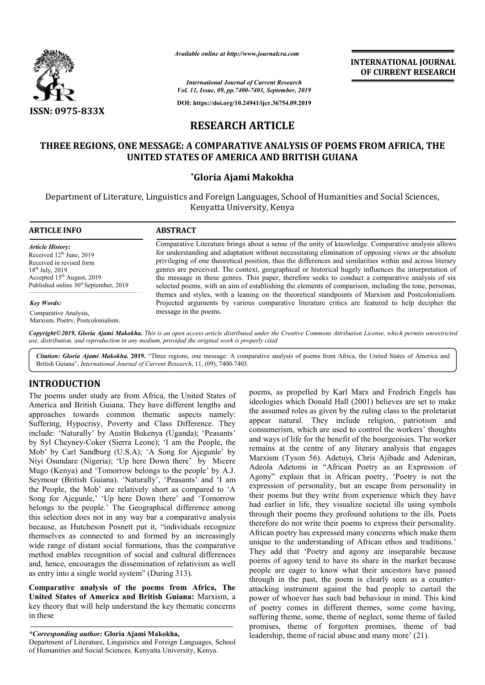

*Available online at http://www.journalcra.com*

**INTERNATIONAL JOURNAL OF CURRENT RESEARCH**

*International Journal of Current Research Vol. 11, Issue, 09, pp.7400-7403, September, 2019*

**DOI: https://doi.org/10.24941/ijcr.36754.09.2019**

# **RESEARCH ARTICLE**

## **THREE REGIONS, ONE MESSAGE: A COMPARATIVE ANALYSIS OF POEMS FROM AFRICA, THE COMPARATIVE ANALYSIS UNITED STATES OF AMERICA AND BRITISH GUIANA BRITISH GUIANA**

#### **\*Gloria Ajami Makokha**

Department of Literature, Linguistics and Foreign Languages, School of Humanities and Social Sciences, Kenyatta University, Kenya

| <b>ARTICLE INFO</b>                                                                                                                                                                            | <b>ABSTRACT</b>                                                                                                                                                                                                                                                                                                                                                                                                                                                                                                                                                                                                                                |
|------------------------------------------------------------------------------------------------------------------------------------------------------------------------------------------------|------------------------------------------------------------------------------------------------------------------------------------------------------------------------------------------------------------------------------------------------------------------------------------------------------------------------------------------------------------------------------------------------------------------------------------------------------------------------------------------------------------------------------------------------------------------------------------------------------------------------------------------------|
| <b>Article History:</b><br>Received $12th$ June, 2019<br>Received in revised form<br>$18^{th}$ July, 2019<br>Accepted $15th$ August, 2019<br>Published online 30 <sup>st</sup> September, 2019 | Comparative Literature brings about a sense of the unity of knowledge. Comparative analysis allows<br>for understanding and adaptation without necessitating elimination of opposing views or the absolute<br>privileging of one theoretical position, thus the differences and similarities within and across literary<br>genres are perceived. The context, geographical or historical hugely influences the interpretation of<br>the message in these genres. This paper, therefore seeks to conduct a comparative analysis of six<br>selected poems, with an aim of establishing the elements of comparison, including the tone, personas, |
| <b>Key Words:</b><br>Comparative Analysis,                                                                                                                                                     | themes and styles, with a leaning on the theoretical standpoints of Marxism and Postcolonialism.<br>Projected arguments by various comparative literature critics are featured to help decipher the<br>message in the poems.                                                                                                                                                                                                                                                                                                                                                                                                                   |

Copyright©2019, Gloria Ajami Makokha. This is an open access article distributed under the Creative Commons Attribution License, which permits unrestrictea *use, distribution, and reproduction in any medium, provided the original work is properly cited.*

Citation: Gloria Ajami Makokha. 2019. "Three regions, one message: A comparative analysis of poems from Africa, the United States of America and **Citation: Gloria Ajami Makokha. 2019.** "Three regions, one message: A com<br>British Guiana", *International Journal of Current Research*, 11, (09), 7400-7403.

## **INTRODUCTION**

Marxism, Poetry, Postcolonialism.

The poems under study are from Africa, the United States of America and British Guiana. They have different lengths and . approaches towards common thematic aspects namely: Suffering, Hypocrisy, Poverty and Class Difference. They include: 'Naturally' by Austin Bukenya (Uganda); 'Peasants' by Syl Cheyney-Coker (Sierra Leone); 'I am the People, the Mob' by Carl Sandburg (U.S.A); 'A Song for Ajegunle' by Niyi Osundare (Nigeria); 'Up here Down there' by Micere Mugo (Kenya) and 'Tomorrow belongs to the people' by A.J. Seymour (British Guiana). 'Naturally', 'Peasants' and 'I am the People, the Mob' are relatively short as compared to 'A Song for Ajegunle,' 'Up here Down there' and 'Tomorrow belongs to the people.' The Geographical difference among this selection does not in any way bar a comparative analysis because, as Hutcheson Posnett put it, "individuals recognize themselves as connected to and formed by an increasingly wide range of distant social formations, thus the comparative method enables recognition of social and cultural differences and, hence, encourages the dissemination of relativism as well as entry into a single world system" (During 313). iana). 'Naturally', 'Peasants' and 'I am<br>
' are relatively short as compared to 'A<br>
'Up here Down there' and 'Tomorrow<br>
le.' The Geographical difference among<br>
ot in any way bar a comparative analysis<br>
on Posnett put it, '

**Comparative analysis of the poems from Africa, The United States of America and British Guiana:**  key theory that will help understand the key thematic concerns in these

*\*Corresponding author:* **Gloria Ajami Makokha Makokha,**

Department of Literature, Linguistics and Foreign Languages, School<br>of Humanities and Social Sciences, Kenyatta University, Kenya. of Humanities and Social Sciences, Kenyatta University, Kenya

poems, as propelled by Karl Marx and Fredrich Engels has ideologies which Donald Hall (2001) believes are set to make the assumed roles as given by the ruling class to the proletariat appear natural. They include religion, patriotism and consumerism, which are used to control the workers' thoughts and ways of life for the benefit of the bourgeoisies. The worker appear natural. They include religion, patriotism and consumerism, which are used to control the workers' thoughts and ways of life for the benefit of the bourgeoisies. The worker remains at the centre of any literary anal Marxism (Tyson 56). Adetuyi, Chris Ajibade and Adeniran, Adeola Adetomi in "African Poetry as an Expression of Agony" explain that in African poetry, 'Poetry is not the expression of personality, but an escape from personality in their poems but they write from experience which they have had earlier in life, they visualize societal ills using symbols through their poems they profound solutions to the ills therefore do not write their poems to express their personality. African poetry has expressed many concerns which make them unique to the understanding of African ethos and traditions.' They add that 'Poetry and agony are inseparable because poems of agony tend to have its share in the market because people are eager to know what their ancestors have passed through in the past, the poem is clearly seen as a counterattacking instrument against the bad people to curtail the power of whoever has such bad behaviour in mind. This kind of poetry comes in different themes, some come having, suffering theme, some, theme of neglect, some theme of failed promises, theme of forgotten promises, theme of bad leadership, theme of racial abuse and many more' (21). Adeola Adetomi in "African Poetry as an Expression of Agony" explain that in African poetry, "Poetry is not the expression of personality, but an escape from personality in their poems but they write from experience which o not write their poems to express their personality.<br>
try has expressed many concerns which make them<br>
the understanding of African ethos and traditions.<br>
that 'Poetry and agony are inseparable because<br>
gony tend to have attacking instrument against the bad people to curtail the<br>power of whoever has such bad behaviour in mind. This kind<br>of poetry comes in different themes, some come having INTERNATIONAL JOURNAL<br>
OF CURRENT RESEARCH<br>
OF CURRENT RESEARCH<br>
OF CURRENT RESEARCH<br>
TO CURRENT RESEARCH<br>
IF GUIANA<br>
Humanities and Social Sciences,<br>
iny of knowledge. Comparative analysis allows<br>
(climination of opposing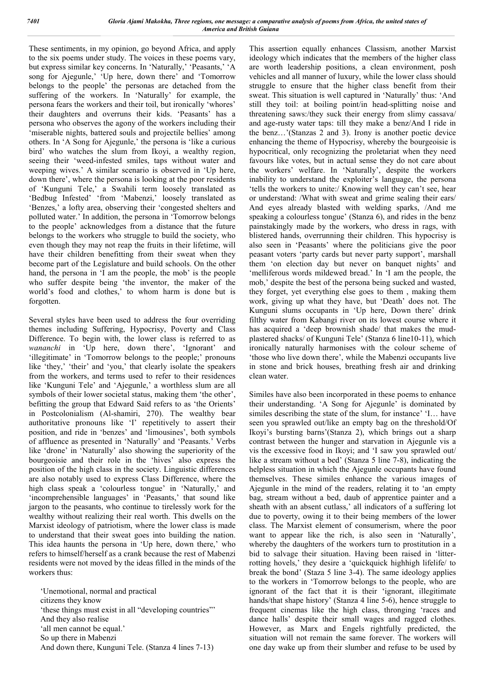These sentiments, in my opinion, go beyond Africa, and apply to the six poems under study. The voices in these poems vary, but express similar key concerns. In 'Naturally,' 'Peasants,' 'A song for Ajegunle,' 'Up here, down there' and 'Tomorrow belongs to the people' the personas are detached from the suffering of the workers. In 'Naturally' for example, the persona fears the workers and their toil, but ironically 'whores' their daughters and overruns their kids. 'Peasants' has a persona who observes the agony of the workers including their 'miserable nights, battered souls and projectile bellies' among others. In 'A Song for Ajegunle,' the persona is 'like a curious bird' who watches the slum from Ikoyi, a wealthy region, seeing their 'weed-infested smiles, taps without water and weeping wives.' A similar scenario is observed in 'Up here, down there', where the persona is looking at the poor residents of 'Kunguni Tele,' a Swahili term loosely translated as 'Bedbug Infested' 'from 'Mabenzi,' loosely translated as 'Benzes,' a lofty area, observing their 'congested shelters and polluted water.' In addition, the persona in 'Tomorrow belongs to the people' acknowledges from a distance that the future belongs to the workers who struggle to build the society, who even though they may not reap the fruits in their lifetime, will have their children benefitting from their sweat when they become part of the Legislature and build schools. On the other hand, the persona in 'I am the people, the mob' is the people who suffer despite being 'the inventor, the maker of the world's food and clothes,' to whom harm is done but is forgotten.

Several styles have been used to address the four overriding themes including Suffering, Hypocrisy, Poverty and Class Difference. To begin with, the lower class is referred to as *wananchi* in 'Up here, down there', 'Ignorant' and 'illegitimate' in 'Tomorrow belongs to the people;' pronouns like 'they,' 'their' and 'you,' that clearly isolate the speakers from the workers, and terms used to refer to their residences like 'Kunguni Tele' and 'Ajegunle,' a worthless slum are all symbols of their lower societal status, making them 'the other', befitting the group that Edward Said refers to as 'the Orients' in Postcolonialism (Al-shamiri, 270). The wealthy bear authoritative pronouns like 'I' repetitively to assert their position, and ride in 'benzes' and 'limousines', both symbols of affluence as presented in 'Naturally' and 'Peasants.' Verbs like 'drone' in 'Naturally' also showing the superiority of the bourgeoisie and their role in the 'hives' also express the position of the high class in the society. Linguistic differences are also notably used to express Class Difference, where the high class speak a 'colourless tongue' in 'Naturally,' and 'incomprehensible languages' in 'Peasants,' that sound like jargon to the peasants, who continue to tirelessly work for the wealthy without realizing their real worth. This dwells on the Marxist ideology of patriotism, where the lower class is made to understand that their sweat goes into building the nation. This idea haunts the persona in 'Up here, down there,' who refers to himself/herself as a crank because the rest of Mabenzi residents were not moved by the ideas filled in the minds of the workers thus:

'Unemotional, normal and practical citizens they know 'these things must exist in all "developing countries"' And they also realise 'all men cannot be equal.' So up there in Mabenzi And down there, Kunguni Tele. (Stanza 4 lines 7-13)

This assertion equally enhances Classism, another Marxist ideology which indicates that the members of the higher class are worth leadership positions, a clean environment, posh vehicles and all manner of luxury, while the lower class should struggle to ensure that the higher class benefit from their sweat. This situation is well captured in 'Naturally' thus: 'And still they toil: at boiling point/in head-splitting noise and threatening saws:/they suck their energy from slimy cassava/ and age-rusty water taps: till they make a benz/And I ride in the benz…'(Stanzas 2 and 3). Irony is another poetic device enhancing the theme of Hypocrisy, whereby the bourgeoisie is hypocritical, only recognizing the proletariat when they need favours like votes, but in actual sense they do not care about the workers' welfare. In 'Naturally', despite the workers inability to understand the exploiter's language, the persona 'tells the workers to unite:/ Knowing well they can't see, hear or understand: /What with sweat and grime sealing their ears/ And eyes already blasted with welding sparks, /And me speaking a colourless tongue' (Stanza 6), and rides in the benz painstakingly made by the workers, who dress in rags, with blistered hands, overrunning their children. This hypocrisy is also seen in 'Peasants' where the politicians give the poor peasant voters 'party cards but never party support', marshall them 'on election day but never on banquet nights' and 'melliferous words mildewed bread.' In 'I am the people, the mob,' despite the best of the persona being sucked and wasted, they forget, yet everything else goes to them , making them work, giving up what they have, but 'Death' does not. The Kunguni slums occupants in 'Up here, Down there' drink filthy water from Kabangi river on its lowest course where it has acquired a 'deep brownish shade/ that makes the mudplastered shacks/ of Kunguni Tele' (Stanza 6 line10-11), which ironically naturally harmonises with the colour scheme of 'those who live down there', while the Mabenzi occupants live in stone and brick houses, breathing fresh air and drinking clean water.

Similes have also been incorporated in these poems to enhance their understanding. 'A Song for Ajegunle' is dominated by similes describing the state of the slum, for instance' 'I… have seen you sprawled out/like an empty bag on the threshold/Of Ikoyi's bursting barns'(Stanza 2), which brings out a sharp contrast between the hunger and starvation in Ajegunle vis a vis the excessive food in Ikoyi; and 'I saw you sprawled out/ like a stream without a bed' (Stanza 5 line 7-8), indicating the helpless situation in which the Ajegunle occupants have found themselves. These similes enhance the various images of Ajegunle in the mind of the readers, relating it to 'an empty bag, stream without a bed, daub of apprentice painter and a sheath with an absent cutlass,' all indicators of a suffering lot due to poverty, owing it to their being members of the lower class. The Marxist element of consumerism, where the poor want to appear like the rich, is also seen in 'Naturally', whereby the daughters of the workers turn to prostitution in a bid to salvage their situation. Having been raised in 'litterrotting hovels,' they desire a 'quickquick highhigh lifelife/ to break the bond' (Staza 5 line 3-4). The same ideology applies to the workers in 'Tomorrow belongs to the people, who are ignorant of the fact that it is their 'ignorant, illegitimate hands/that shape history' (Stanza 4 line 5-6), hence struggle to frequent cinemas like the high class, thronging 'races and dance halls' despite their small wages and ragged clothes. However, as Marx and Engels rightfully predicted, the situation will not remain the same forever. The workers will one day wake up from their slumber and refuse to be used by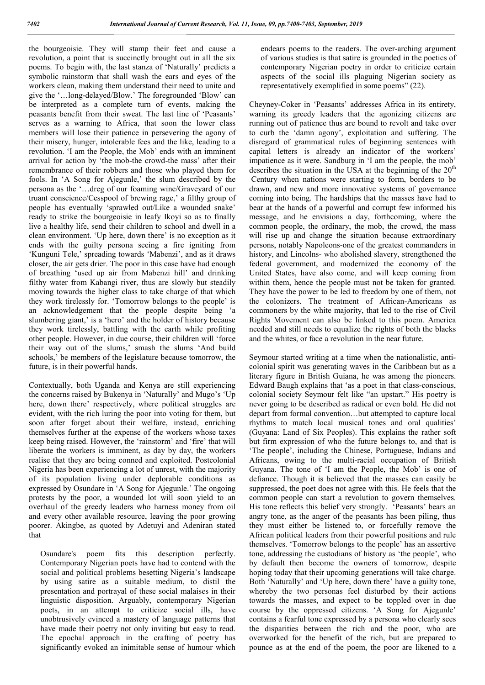the bourgeoisie. They will stamp their feet and cause a revolution, a point that is succinctly brought out in all the six poems. To begin with, the last stanza of 'Naturally' predicts a symbolic rainstorm that shall wash the ears and eyes of the workers clean, making them understand their need to unite and give the '…long-delayed/Blow.' The foregrounded 'Blow' can be interpreted as a complete turn of events, making the peasants benefit from their sweat. The last line of 'Peasants' serves as a warning to Africa, that soon the lower class members will lose their patience in persevering the agony of their misery, hunger, intolerable fees and the like, leading to a revolution. 'I am the People, the Mob' ends with an imminent arrival for action by 'the mob-the crowd-the mass' after their remembrance of their robbers and those who played them for fools. In 'A Song for Ajegunle,' the slum described by the persona as the '…dreg of our foaming wine/Graveyard of our truant conscience/Cesspool of brewing rage,' a filthy group of people has eventually 'sprawled out/Like a wounded snake' ready to strike the bourgeoisie in leafy Ikoyi so as to finally live a healthy life, send their children to school and dwell in a clean environment. 'Up here, down there' is no exception as it ends with the guilty persona seeing a fire igniting from 'Kunguni Tele,' spreading towards 'Mabenzi', and as it draws closer, the air gets drier. The poor in this case have had enough of breathing 'used up air from Mabenzi hill' and drinking filthy water from Kabangi river, thus are slowly but steadily moving towards the higher class to take charge of that which they work tirelessly for. 'Tomorrow belongs to the people' is an acknowledgement that the people despite being 'a slumbering giant,' is a 'hero' and the holder of history because they work tirelessly, battling with the earth while profiting other people. However, in due course, their children will 'force their way out of the slums,' smash the slums 'And build schools,' be members of the legislature because tomorrow, the future, is in their powerful hands.

Contextually, both Uganda and Kenya are still experiencing the concerns raised by Bukenya in 'Naturally' and Mugo's 'Up here, down there' respectively, where political struggles are evident, with the rich luring the poor into voting for them, but soon after forget about their welfare, instead, enriching themselves further at the expense of the workers whose taxes keep being raised. However, the 'rainstorm' and 'fire' that will liberate the workers is imminent, as day by day, the workers realise that they are being conned and exploited. Postcolonial Nigeria has been experiencing a lot of unrest, with the majority of its population living under deplorable conditions as expressed by Osundare in 'A Song for Ajegunle.' The ongoing protests by the poor, a wounded lot will soon yield to an overhaul of the greedy leaders who harness money from oil and every other available resource, leaving the poor growing poorer. Akingbe, as quoted by Adetuyi and Adeniran stated that

Osundare's poem fits this description perfectly. Contemporary Nigerian poets have had to contend with the social and political problems besetting Nigeria's landscape by using satire as a suitable medium, to distil the presentation and portrayal of these social malaises in their linguistic disposition. Arguably, contemporary Nigerian poets, in an attempt to criticize social ills, have unobtrusively evinced a mastery of language patterns that have made their poetry not only inviting but easy to read. The epochal approach in the crafting of poetry has significantly evoked an inimitable sense of humour which endears poems to the readers. The over-arching argument of various studies is that satire is grounded in the poetics of contemporary Nigerian poetry in order to criticize certain aspects of the social ills plaguing Nigerian society as representatively exemplified in some poems" (22).

Cheyney-Coker in 'Peasants' addresses Africa in its entirety, warning its greedy leaders that the agonizing citizens are running out of patience thus are bound to revolt and take over to curb the 'damn agony', exploitation and suffering. The disregard of grammatical rules of beginning sentences with capital letters is already an indicator of the workers' impatience as it were. Sandburg in 'I am the people, the mob' describes the situation in the USA at the beginning of the  $20<sup>th</sup>$ Century when nations were starting to form, borders to be drawn, and new and more innovative systems of governance coming into being. The hardships that the masses have had to bear at the hands of a powerful and corrupt few informed his message, and he envisions a day, forthcoming, where the common people, the ordinary, the mob, the crowd, the mass will rise up and change the situation because extraordinary persons, notably Napoleons-one of the greatest commanders in history, and Lincolns- who abolished slavery, strengthened the federal government, and modernized the economy of the United States, have also come, and will keep coming from within them, hence the people must not be taken for granted. They have the power to be led to freedom by one of them, not the colonizers. The treatment of African-Americans as commoners by the white majority, that led to the rise of Civil Rights Movement can also be linked to this poem. America needed and still needs to equalize the rights of both the blacks and the whites, or face a revolution in the near future.

Seymour started writing at a time when the nationalistic, anticolonial spirit was generating waves in the Caribbean but as a literary figure in British Guiana, he was among the pioneers. Edward Baugh explains that 'as a poet in that class-conscious, colonial society Seymour felt like "an upstart." His poetry is never going to be described as radical or even bold. He did not depart from formal convention…but attempted to capture local rhythms to match local musical tones and oral qualities' (Guyana: Land of Six Peoples). This explains the rather soft but firm expression of who the future belongs to, and that is 'The people', including the Chinese, Portuguese, Indians and Africans, owing to the multi-racial occupation of British Guyana. The tone of 'I am the People, the Mob' is one of defiance. Though it is believed that the masses can easily be suppressed, the poet does not agree with this. He feels that the common people can start a revolution to govern themselves. His tone reflects this belief very strongly. 'Peasants' bears an angry tone, as the anger of the peasants has been piling, thus they must either be listened to, or forcefully remove the African political leaders from their powerful positions and rule themselves. 'Tomorrow belongs to the people' has an assertive tone, addressing the custodians of history as 'the people', who by default then become the owners of tomorrow, despite hoping today that their upcoming generations will take charge. Both 'Naturally' and 'Up here, down there' have a guilty tone, whereby the two personas feel disturbed by their actions towards the masses, and expect to be toppled over in due course by the oppressed citizens. 'A Song for Ajegunle' contains a fearful tone expressed by a persona who clearly sees the disparities between the rich and the poor, who are overworked for the benefit of the rich, but are prepared to pounce as at the end of the poem, the poor are likened to a